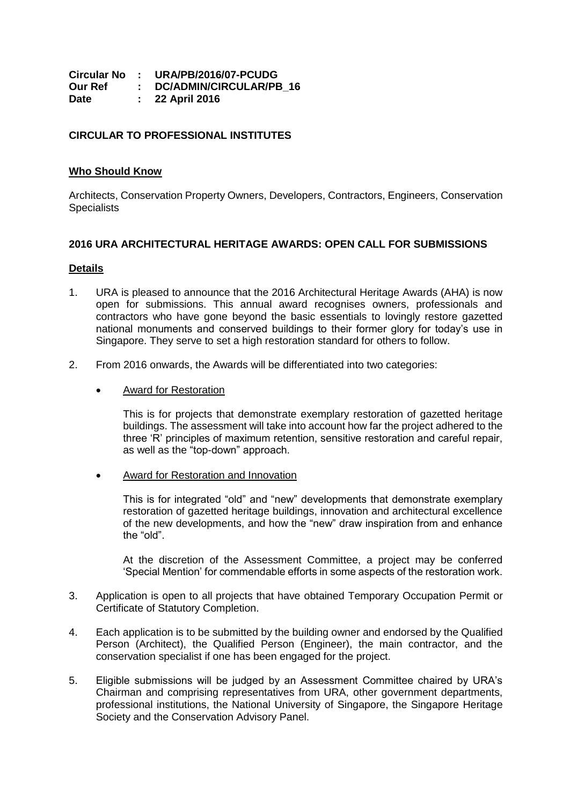|         | Circular No : URA/PB/2016/07-PCUDG |
|---------|------------------------------------|
| Our Ref | DC/ADMIN/CIRCULAR/PB 16            |
| Date    | $: 22$ April 2016                  |

## **CIRCULAR TO PROFESSIONAL INSTITUTES**

## **Who Should Know**

Architects, Conservation Property Owners, Developers, Contractors, Engineers, Conservation **Specialists** 

## **2016 URA ARCHITECTURAL HERITAGE AWARDS: OPEN CALL FOR SUBMISSIONS**

## **Details**

- 1. URA is pleased to announce that the 2016 Architectural Heritage Awards (AHA) is now open for submissions. This annual award recognises owners, professionals and contractors who have gone beyond the basic essentials to lovingly restore gazetted national monuments and conserved buildings to their former glory for today's use in Singapore. They serve to set a high restoration standard for others to follow.
- 2. From 2016 onwards, the Awards will be differentiated into two categories:
	- Award for Restoration

This is for projects that demonstrate exemplary restoration of gazetted heritage buildings. The assessment will take into account how far the project adhered to the three 'R' principles of maximum retention, sensitive restoration and careful repair, as well as the "top-down" approach.

Award for Restoration and Innovation

This is for integrated "old" and "new" developments that demonstrate exemplary restoration of gazetted heritage buildings, innovation and architectural excellence of the new developments, and how the "new" draw inspiration from and enhance the "old".

At the discretion of the Assessment Committee, a project may be conferred 'Special Mention' for commendable efforts in some aspects of the restoration work.

- 3. Application is open to all projects that have obtained Temporary Occupation Permit or Certificate of Statutory Completion.
- 4. Each application is to be submitted by the building owner and endorsed by the Qualified Person (Architect), the Qualified Person (Engineer), the main contractor, and the conservation specialist if one has been engaged for the project.
- 5. Eligible submissions will be judged by an Assessment Committee chaired by URA's Chairman and comprising representatives from URA, other government departments, professional institutions, the National University of Singapore, the Singapore Heritage Society and the Conservation Advisory Panel.